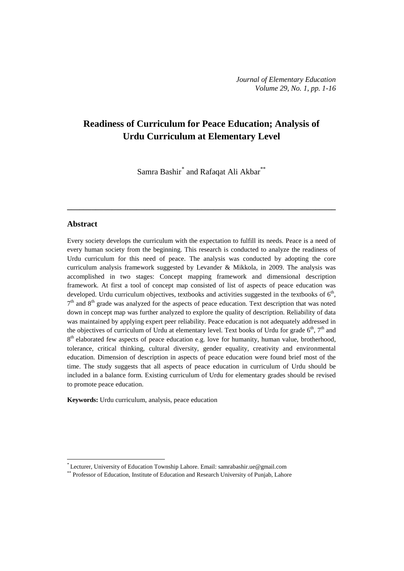# **Readiness of Curriculum for Peace Education; Analysis of Urdu Curriculum at Elementary Level**

Samra Bashir<sup>[\\*](#page-0-0)</sup> and Rafaqat Ali Akbar<sup>\*\*</sup>

**\_\_\_\_\_\_\_\_\_\_\_\_\_\_\_\_\_\_\_\_\_\_\_\_\_\_\_\_\_\_\_\_\_\_\_\_\_\_\_\_\_\_\_\_\_\_\_\_\_\_\_\_\_\_\_\_\_\_\_\_\_\_\_\_\_\_**

### **Abstract**

 $\overline{a}$ 

Every society develops the curriculum with the expectation to fulfill its needs. Peace is a need of every human society from the beginning. This research is conducted to analyze the readiness of Urdu curriculum for this need of peace. The analysis was conducted by adopting the core curriculum analysis framework suggested by Levander & Mikkola, in 2009. The analysis was accomplished in two stages: Concept mapping framework and dimensional description framework. At first a tool of concept map consisted of list of aspects of peace education was developed. Urdu curriculum objectives, textbooks and activities suggested in the textbooks of  $6<sup>th</sup>$ ,  $7<sup>th</sup>$  and  $8<sup>th</sup>$  grade was analyzed for the aspects of peace education. Text description that was noted down in concept map was further analyzed to explore the quality of description. Reliability of data was maintained by applying expert peer reliability. Peace education is not adequately addressed in the objectives of curriculum of Urdu at elementary level. Text books of Urdu for grade  $6<sup>th</sup>$ ,  $7<sup>th</sup>$  and  $8<sup>th</sup>$  elaborated few aspects of peace education e.g. love for humanity, human value, brotherhood, tolerance, critical thinking, cultural diversity, gender equality, creativity and environmental education. Dimension of description in aspects of peace education were found brief most of the time. The study suggests that all aspects of peace education in curriculum of Urdu should be included in a balance form. Existing curriculum of Urdu for elementary grades should be revised to promote peace education.

**Keywords:** Urdu curriculum, analysis, peace education

<span id="page-0-0"></span><sup>\*</sup> Lecturer, University of Education Township Lahore. Email[: samrabashir.ue@gmail.com](mailto:samrabashir.ue@gmail.com)

<sup>\*\*</sup> Professor of Education, Institute of Education and Research University of Punjab, Lahore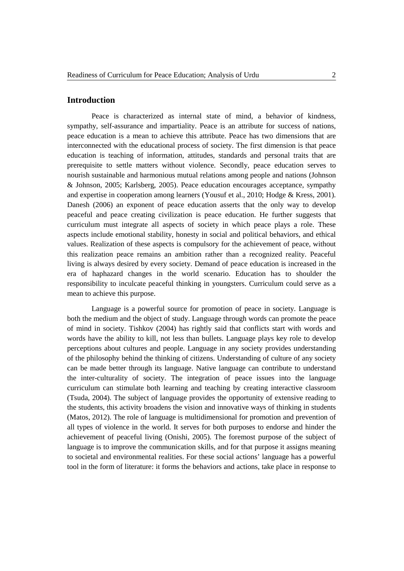## **Introduction**

Peace is characterized as internal state of mind, a behavior of kindness, sympathy, self-assurance and impartiality. Peace is an attribute for success of nations, peace education is a mean to achieve this attribute. Peace has two dimensions that are interconnected with the educational process of society. The first dimension is that peace education is teaching of information, attitudes, standards and personal traits that are prerequisite to settle matters without violence. Secondly, peace education serves to nourish sustainable and harmonious mutual relations among people and nations (Johnson & Johnson, 2005; Karlsberg, 2005). Peace education encourages acceptance, sympathy and expertise in cooperation among learners (Yousuf et al., 2010; Hodge & Kress, 2001). Danesh (2006) an exponent of peace education asserts that the only way to develop peaceful and peace creating civilization is peace education. He further suggests that curriculum must integrate all aspects of society in which peace plays a role. These aspects include emotional stability, honesty in social and political behaviors, and ethical values. Realization of these aspects is compulsory for the achievement of peace, without this realization peace remains an ambition rather than a recognized reality. Peaceful living is always desired by every society. Demand of peace education is increased in the era of haphazard changes in the world scenario. Education has to shoulder the responsibility to inculcate peaceful thinking in youngsters. Curriculum could serve as a mean to achieve this purpose.

Language is a powerful source for promotion of peace in society. Language is both the medium and the object of study. Language through words can promote the peace of mind in society. Tishkov (2004) has rightly said that conflicts start with words and words have the ability to kill, not less than bullets. Language plays key role to develop perceptions about cultures and people. Language in any society provides understanding of the philosophy behind the thinking of citizens. Understanding of culture of any society can be made better through its language. Native language can contribute to understand the inter-culturality of society. The integration of peace issues into the language curriculum can stimulate both learning and teaching by creating interactive classroom (Tsuda, 2004). The subject of language provides the opportunity of extensive reading to the students, this activity broadens the vision and innovative ways of thinking in students (Matos, 2012). The role of language is multidimensional for promotion and prevention of all types of violence in the world. It serves for both purposes to endorse and hinder the achievement of peaceful living (Onishi, 2005). The foremost purpose of the subject of language is to improve the communication skills, and for that purpose it assigns meaning to societal and environmental realities. For these social actions' language has a powerful tool in the form of literature: it forms the behaviors and actions, take place in response to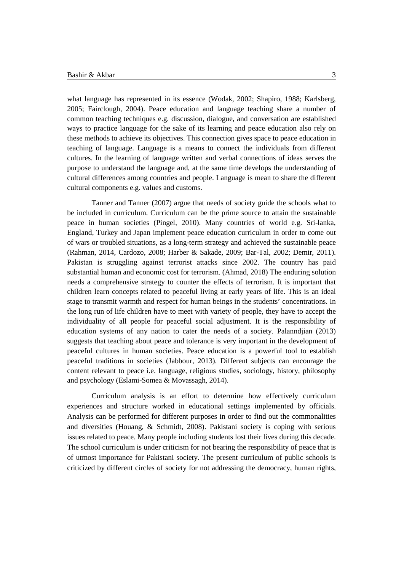what language has represented in its essence (Wodak, 2002; Shapiro, 1988; Karlsberg, 2005; Fairclough, 2004). Peace education and language teaching share a number of common teaching techniques e.g. discussion, dialogue, and conversation are established ways to practice language for the sake of its learning and peace education also rely on these methods to achieve its objectives. This connection gives space to peace education in teaching of language. Language is a means to connect the individuals from different cultures. In the learning of language written and verbal connections of ideas serves the purpose to understand the language and, at the same time develops the understanding of cultural differences among countries and people. Language is mean to share the different cultural components e.g. values and customs.

Tanner and Tanner (2007) argue that needs of society guide the schools what to be included in curriculum. Curriculum can be the prime source to attain the sustainable peace in human societies (Pingel, 2010). Many countries of world e.g. Sri-lanka, England, Turkey and Japan implement peace education curriculum in order to come out of wars or troubled situations, as a long-term strategy and achieved the sustainable peace (Rahman, 2014, Cardozo, 2008; Harber & Sakade, 2009; Bar-Tal, 2002; Demir, 2011). Pakistan is struggling against terrorist attacks since 2002. The country has paid substantial human and economic cost for terrorism. (Ahmad, 2018) The enduring solution needs a comprehensive strategy to counter the effects of terrorism. It is important that children learn concepts related to peaceful living at early years of life. This is an ideal stage to transmit warmth and respect for human beings in the students' concentrations. In the long run of life children have to meet with variety of people, they have to accept the individuality of all people for peaceful social adjustment. It is the responsibility of education systems of any nation to cater the needs of a society. Palanndjian (2013) suggests that teaching about peace and tolerance is very important in the development of peaceful cultures in human societies. Peace education is a powerful tool to establish peaceful traditions in societies (Jabbour, 2013). Different subjects can encourage the content relevant to peace i.e. language, religious studies, sociology, history, philosophy and psychology (Eslami-Somea & Movassagh, 2014).

Curriculum analysis is an effort to determine how effectively curriculum experiences and structure worked in educational settings implemented by officials. Analysis can be performed for different purposes in order to find out the commonalities and diversities (Houang, & Schmidt, 2008). Pakistani society is coping with serious issues related to peace. Many people including students lost their lives during this decade. The school curriculum is under criticism for not bearing the responsibility of peace that is of utmost importance for Pakistani society. The present curriculum of public schools is criticized by different circles of society for not addressing the democracy, human rights,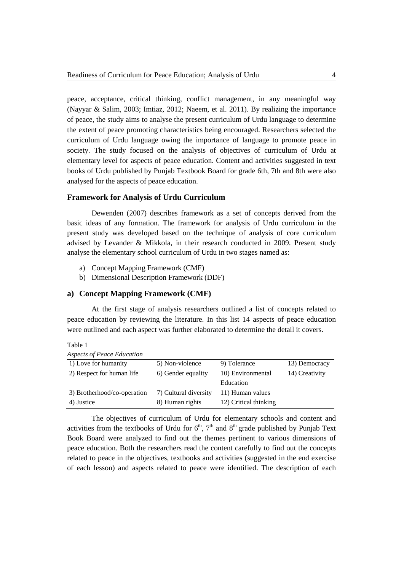peace, acceptance, critical thinking, conflict management, in any meaningful way (Nayyar & Salim, 2003; Imtiaz, 2012; Naeem, et al. 2011). By realizing the importance of peace, the study aims to analyse the present curriculum of Urdu language to determine the extent of peace promoting characteristics being encouraged. Researchers selected the curriculum of Urdu language owing the importance of language to promote peace in society. The study focused on the analysis of objectives of curriculum of Urdu at elementary level for aspects of peace education. Content and activities suggested in text books of Urdu published by Punjab Textbook Board for grade 6th, 7th and 8th were also analysed for the aspects of peace education.

### **Framework for Analysis of Urdu Curriculum**

Dewenden (2007) describes framework as a set of concepts derived from the basic ideas of any formation. The framework for analysis of Urdu curriculum in the present study was developed based on the technique of analysis of core curriculum advised by Levander & Mikkola, in their research conducted in 2009. Present study analyse the elementary school curriculum of Urdu in two stages named as:

- a) Concept Mapping Framework (CMF)
- b) Dimensional Description Framework (DDF)

## **a) Concept Mapping Framework (CMF)**

At the first stage of analysis researchers outlined a list of concepts related to peace education by reviewing the literature. In this list 14 aspects of peace education were outlined and each aspect was further elaborated to determine the detail it covers.

Table 1

| <b>Aspects of Peace Education</b> |                       |                       |                |
|-----------------------------------|-----------------------|-----------------------|----------------|
| 1) Love for humanity              | 5) Non-violence       | 9) Tolerance          | 13) Democracy  |
| 2) Respect for human life         | 6) Gender equality    | 10) Environmental     | 14) Creativity |
|                                   |                       | Education             |                |
| 3) Brotherhood/co-operation       | 7) Cultural diversity | 11) Human values      |                |
| 4) Justice                        | 8) Human rights       | 12) Critical thinking |                |

The objectives of curriculum of Urdu for elementary schools and content and activities from the textbooks of Urdu for  $6<sup>th</sup>$ ,  $7<sup>th</sup>$  and  $8<sup>th</sup>$  grade published by Punjab Text Book Board were analyzed to find out the themes pertinent to various dimensions of peace education. Both the researchers read the content carefully to find out the concepts related to peace in the objectives, textbooks and activities (suggested in the end exercise of each lesson) and aspects related to peace were identified. The description of each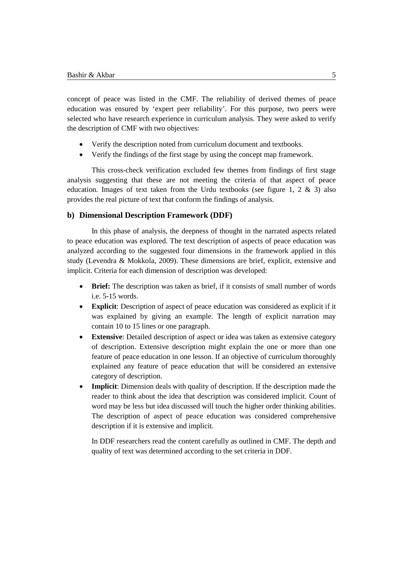concept of peace was listed in the CMF. The reliability of derived themes of peace education was ensured by 'expert peer reliability'. For this purpose, two peers were selected who have research experience in curriculum analysis. They were asked to verify the description of CMF with two objectives:

- Verify the description noted from curriculum document and textbooks.
- Verify the findings of the first stage by using the concept map framework.

This cross-check verification excluded few themes from findings of first stage analysis suggesting that these are not meeting the criteria of that aspect of peace education. Images of text taken from the Urdu textbooks (see figure 1, 2  $\&$  3) also provides the real picture of text that conform the findings of analysis.

## **b) Dimensional Description Framework (DDF)**

In this phase of analysis, the deepness of thought in the narrated aspects related to peace education was explored. The text description of aspects of peace education was analyzed according to the suggested four dimensions in the framework applied in this study (Levendra & Mokkola, 2009). These dimensions are brief, explicit, extensive and implicit. Criteria for each dimension of description was developed:

- **Brief:** The description was taken as brief, if it consists of small number of words i.e. 5-15 words.
- **Explicit**: Description of aspect of peace education was considered as explicit if it was explained by giving an example. The length of explicit narration may contain 10 to 15 lines or one paragraph.
- **Extensive**: Detailed description of aspect or idea was taken as extensive category of description. Extensive description might explain the one or more than one feature of peace education in one lesson. If an objective of curriculum thoroughly explained any feature of peace education that will be considered an extensive category of description.
- **Implicit:** Dimension deals with quality of description. If the description made the reader to think about the idea that description was considered implicit. Count of word may be less but idea discussed will touch the higher order thinking abilities. The description of aspect of peace education was considered comprehensive description if it is extensive and implicit.

In DDF researchers read the content carefully as outlined in CMF. The depth and quality of text was determined according to the set criteria in DDF.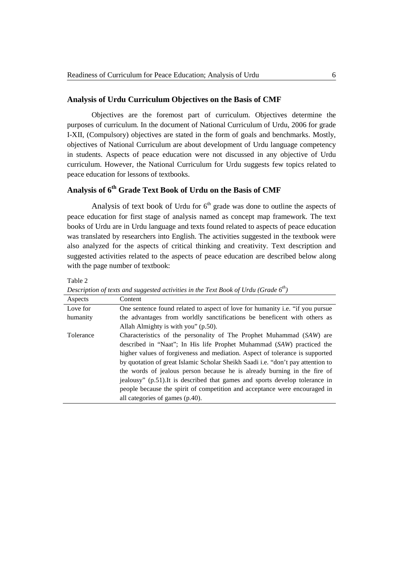## **Analysis of Urdu Curriculum Objectives on the Basis of CMF**

Objectives are the foremost part of curriculum. Objectives determine the purposes of curriculum. In the document of National Curriculum of Urdu, 2006 for grade I-XII, (Compulsory) objectives are stated in the form of goals and benchmarks. Mostly, objectives of National Curriculum are about development of Urdu language competency in students. Aspects of peace education were not discussed in any objective of Urdu curriculum. However, the National Curriculum for Urdu suggests few topics related to peace education for lessons of textbooks.

## **Analysis of 6th Grade Text Book of Urdu on the Basis of CMF**

Analysis of text book of Urdu for  $6<sup>th</sup>$  grade was done to outline the aspects of peace education for first stage of analysis named as concept map framework. The text books of Urdu are in Urdu language and texts found related to aspects of peace education was translated by researchers into English. The activities suggested in the textbook were also analyzed for the aspects of critical thinking and creativity. Text description and suggested activities related to the aspects of peace education are described below along with the page number of textbook:

| able |  |
|------|--|
|------|--|

| Aspects   | Content                                                                                |
|-----------|----------------------------------------------------------------------------------------|
| Love for  | One sentence found related to aspect of love for humanity i.e. "if you pursue          |
| humanity  | the advantages from worldly sanctifications be beneficent with others as               |
|           | Allah Almighty is with you" (p.50).                                                    |
| Tolerance | Characteristics of the personality of The Prophet Muhammad (SAW) are                   |
|           | described in "Naat"; In His life Prophet Muhammad (SAW) practiced the                  |
|           | higher values of forgiveness and mediation. Aspect of tolerance is supported           |
|           | by quotation of great Islamic Scholar Sheikh Saadi <i>i.e.</i> "don't pay attention to |
|           | the words of jealous person because he is already burning in the fire of               |
|           | jealousy" (p.51). It is described that games and sports develop tolerance in           |
|           | people because the spirit of competition and acceptance were encouraged in             |
|           | all categories of games (p.40).                                                        |

*Description of texts and suggested activities in the Text Book of Urdu (Grade 6th)*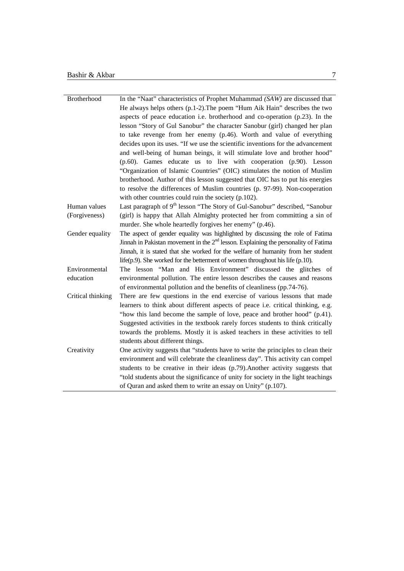| Brotherhood       | In the "Naat" characteristics of Prophet Muhammad (SAW) are discussed that              |
|-------------------|-----------------------------------------------------------------------------------------|
|                   | He always helps others (p.1-2). The poem "Hum Aik Hain" describes the two               |
|                   | aspects of peace education i.e. brotherhood and co-operation (p.23). In the             |
|                   | lesson "Story of Gul Sanobur" the character Sanobur (girl) changed her plan             |
|                   | to take revenge from her enemy (p.46). Worth and value of everything                    |
|                   | decides upon its uses. "If we use the scientific inventions for the advancement         |
|                   | and well-being of human beings, it will stimulate love and brother hood"                |
|                   | (p.60). Games educate us to live with cooperation (p.90). Lesson                        |
|                   | "Organization of Islamic Countries" (OIC) stimulates the notion of Muslim               |
|                   | brotherhood. Author of this lesson suggested that OIC has to put his energies           |
|                   | to resolve the differences of Muslim countries (p. 97-99). Non-cooperation              |
|                   | with other countries could ruin the society (p.102).                                    |
| Human values      | Last paragraph of 9 <sup>th</sup> lesson "The Story of Gul-Sanobur" described, "Sanobur |
| (Forgiveness)     | (girl) is happy that Allah Almighty protected her from committing a sin of              |
|                   | murder. She whole heartedly forgives her enemy" (p.46).                                 |
| Gender equality   | The aspect of gender equality was highlighted by discussing the role of Fatima          |
|                   | Jinnah in Pakistan movement in the $2nd$ lesson. Explaining the personality of Fatima   |
|                   | Jinnah, it is stated that she worked for the welfare of humanity from her student       |
|                   | life $(p.9)$ . She worked for the betterment of women throughout his life $(p.10)$ .    |
| Environmental     | The lesson "Man and His Environment" discussed the glitches of                          |
| education         | environmental pollution. The entire lesson describes the causes and reasons             |
|                   | of environmental pollution and the benefits of cleanliness (pp.74-76).                  |
| Critical thinking | There are few questions in the end exercise of various lessons that made                |
|                   | learners to think about different aspects of peace i.e. critical thinking, e.g.         |
|                   | "how this land become the sample of love, peace and brother hood" (p.41).               |
|                   | Suggested activities in the textbook rarely forces students to think critically         |
|                   | towards the problems. Mostly it is asked teachers in these activities to tell           |
|                   | students about different things.                                                        |
| Creativity        | One activity suggests that "students have to write the principles to clean their        |
|                   | environment and will celebrate the cleanliness day". This activity can compel           |
|                   | students to be creative in their ideas (p.79). Another activity suggests that           |
|                   | "told students about the significance of unity for society in the light teachings       |
|                   | of Quran and asked them to write an essay on Unity" (p.107).                            |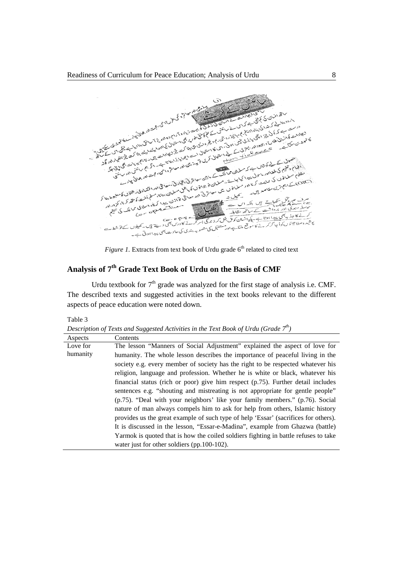

*Figure 1.* Extracts from text book of Urdu grade 6<sup>th</sup> related to cited text

## **Analysis of 7th Grade Text Book of Urdu on the Basis of CMF**

Urdu textbook for  $7<sup>th</sup>$  grade was analyzed for the first stage of analysis i.e. CMF. The described texts and suggested activities in the text books relevant to the different aspects of peace education were noted down.

Table 3

*Description of Texts and Suggested Activities in the Text Book of Urdu (Grade 7th)*

| Aspects  | Contents                                                                            |
|----------|-------------------------------------------------------------------------------------|
| Love for | The lesson "Manners of Social Adjustment" explained the aspect of love for          |
| humanity | humanity. The whole lesson describes the importance of peaceful living in the       |
|          | society e.g. every member of society has the right to be respected whatever his     |
|          | religion, language and profession. Whether he is white or black, whatever his       |
|          | financial status (rich or poor) give him respect (p.75). Further detail includes    |
|          | sentences e.g. "shouting and mistreating is not appropriate for gentle people"      |
|          | $(p.75)$ . "Deal with your neighbors' like your family members." $(p.76)$ . Social  |
|          | nature of man always compels him to ask for help from others, Islamic history       |
|          | provides us the great example of such type of help 'Essar' (sacrifices for others). |
|          | It is discussed in the lesson, "Essar-e-Madina", example from Ghazwa (battle)       |
|          | Yarmok is quoted that is how the coiled soldiers fighting in battle refuses to take |
|          | water just for other soldiers $(pp.100-102)$ .                                      |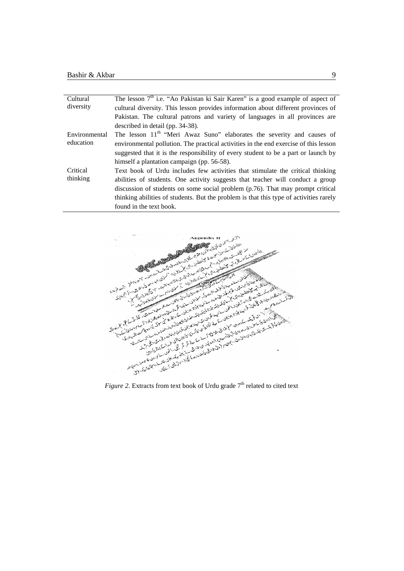| Cultural      | The lesson $7th$ i.e. "Ao Pakistan ki Sair Karen" is a good example of aspect of       |
|---------------|----------------------------------------------------------------------------------------|
| diversity     | cultural diversity. This lesson provides information about different provinces of      |
|               | Pakistan. The cultural patrons and variety of languages in all provinces are           |
|               | described in detail (pp. 34-38).                                                       |
| Environmental | The lesson 11 <sup>th</sup> "Meri Awaz Suno" elaborates the severity and causes of     |
| education     | environmental pollution. The practical activities in the end exercise of this lesson   |
|               | suggested that it is the responsibility of every student to be a part or launch by     |
|               | himself a plantation campaign (pp. 56-58).                                             |
| Critical      | Text book of Urdu includes few activities that stimulate the critical thinking         |
| thinking      | abilities of students. One activity suggests that teacher will conduct a group         |
|               | discussion of students on some social problem (p.76). That may prompt critical         |
|               | thinking abilities of students. But the problem is that this type of activities rarely |
|               | found in the text book.                                                                |

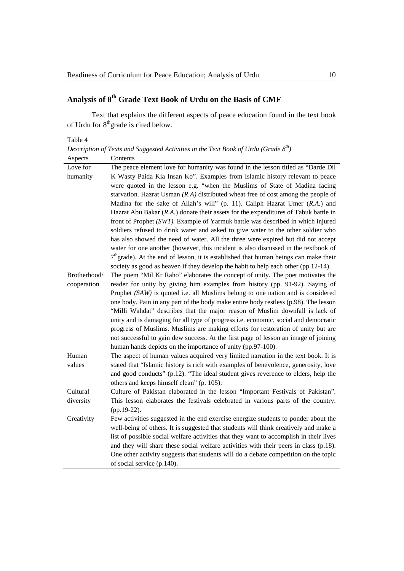# **Analysis of 8th Grade Text Book of Urdu on the Basis of CMF**

Text that explains the different aspects of peace education found in the text book of Urdu for  $8<sup>th</sup>$ grade is cited below.

Table 4

*Description of Texts and Suggested Activities in the Text Book of Urdu (Grade 8th)*

| Aspects      | Contents                                                                               |
|--------------|----------------------------------------------------------------------------------------|
| Love for     | The peace element love for humanity was found in the lesson titled as "Darde Dil       |
| humanity     | K Wasty Paida Kia Insan Ko". Examples from Islamic history relevant to peace           |
|              | were quoted in the lesson e.g. "when the Muslims of State of Madina facing             |
|              | starvation. Hazrat Usman $(R.A)$ distributed wheat free of cost among the people of    |
|              | Madina for the sake of Allah's will" (p. 11). Caliph Hazrat Umer (R.A.) and            |
|              | Hazrat Abu Bakar $(R.A.)$ donate their assets for the expenditures of Tabuk battle in  |
|              | front of Prophet (SWT). Example of Yarmuk battle was described in which injured        |
|              | soldiers refused to drink water and asked to give water to the other soldier who       |
|              | has also showed the need of water. All the three were expired but did not accept       |
|              | water for one another (however, this incident is also discussed in the textbook of     |
|              | $7th$ grade). At the end of lesson, it is established that human beings can make their |
|              | society as good as heaven if they develop the habit to help each other $(pp.12-14)$ .  |
| Brotherhood/ | The poem "Mil Kr Raho" elaborates the concept of unity. The poet motivates the         |
| cooperation  | reader for unity by giving him examples from history (pp. 91-92). Saying of            |
|              | Prophet $(SAW)$ is quoted i.e. all Muslims belong to one nation and is considered      |
|              | one body. Pain in any part of the body make entire body restless (p.98). The lesson    |
|              | "Milli Wahdat" describes that the major reason of Muslim downfall is lack of           |
|              | unity and is damaging for all type of progress i.e. economic, social and democratic    |
|              | progress of Muslims. Muslims are making efforts for restoration of unity but are       |
|              | not successful to gain dew success. At the first page of lesson an image of joining    |
|              | human hands depicts on the importance of unity (pp.97-100).                            |
| Human        | The aspect of human values acquired very limited narration in the text book. It is     |
| values       | stated that "Islamic history is rich with examples of benevolence, generosity, love    |
|              | and good conducts" (p.12). "The ideal student gives reverence to elders, help the      |
|              | others and keeps himself clean" (p. 105).                                              |
| Cultural     | Culture of Pakistan elaborated in the lesson "Important Festivals of Pakistan".        |
| diversity    | This lesson elaborates the festivals celebrated in various parts of the country.       |
|              | (pp.19-22).                                                                            |
| Creativity   | Few activities suggested in the end exercise energize students to ponder about the     |
|              | well-being of others. It is suggested that students will think creatively and make a   |
|              | list of possible social welfare activities that they want to accomplish in their lives |
|              | and they will share these social welfare activities with their peers in class (p.18).  |
|              | One other activity suggests that students will do a debate competition on the topic    |
|              | of social service (p.140).                                                             |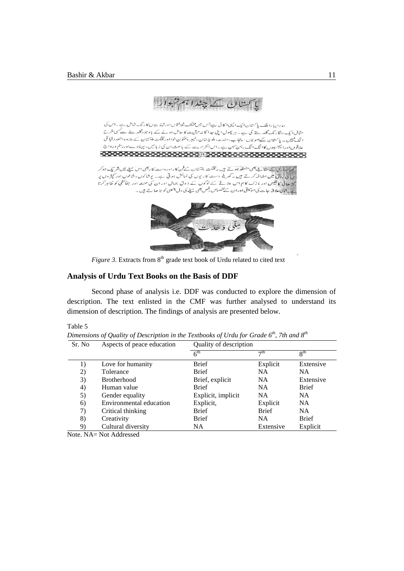

ہما را پیا را ملک پاکستان ایک ایسی اکائی ہے جس میں مختلف ثقافتوں اورتہذیبوں کارنگ شامل ہے۔اس کی ا<br>الگ تنبیں ۔ پاکستان سےصوبوں: پنجاب،سندھ، بلوچستان،نیسر پختون خوااور گلگت بلتسان کے علاوہ متعدد قبائلی علاقوں اور ایجنسیوں کاالگ الگ رہن تہن ہے۔اس انفرادیت کے باعث ان کی زیا تیں، پہناوےاور تم ورواج 

۔<br>جوہ جاری کے مقاللے بھی منعقد ہوتے ہیں۔ گلگت بلتتان کےفن کارادر دست کاربھی اس مبلے میں شر یک ہوکر س کی رونق میں اضافہ کرتے ہیں۔ گھریلہ دست کاریوں کی نمائش ہو تی ہے۔ پ<sub>ی</sub>شاکوں، شائوں اور کپٹروں پر کثر جاتی کا نقیس اور نازک کام اس علاقے کے لوگوں کے ذوق جمال اور ان <sup>سی</sup> محت اور جفائشی کو ظاہر کرتا ہے۔<br>نئے بیٹا کی علاقہ جات کی موسیقی اوران سے مخصوص رتص بھی مہلے کی دل چسپی کو بڑ ھاتے ہیں۔



*Figure 3.* Extracts from  $8<sup>th</sup>$  grade text book of Urdu related to cited text

## **Analysis of Urdu Text Books on the Basis of DDF**

Second phase of analysis i.e. DDF was conducted to explore the dimension of description. The text enlisted in the CMF was further analysed to understand its dimension of description. The findings of analysis are presented below.

Table 5

*Dimensions of Quality of Description in the Textbooks of Urdu for Grade 6th, 7th and 8th*

| 6 <sup>th</sup><br>$R^{th}$<br>$\neg$ th<br><b>Brief</b><br>Explicit<br>Love for humanity<br>Extensive<br>1)<br><b>Brief</b><br>2)<br><b>NA</b><br><b>NA</b><br>Tolerance | Quality of description |  |  |
|---------------------------------------------------------------------------------------------------------------------------------------------------------------------------|------------------------|--|--|
|                                                                                                                                                                           |                        |  |  |
|                                                                                                                                                                           |                        |  |  |
|                                                                                                                                                                           |                        |  |  |
| 3)<br><b>NA</b><br>Extensive<br><b>Brotherhood</b><br>Brief, explicit                                                                                                     |                        |  |  |
| <b>Brief</b><br><b>Brief</b><br><b>NA</b><br>4)<br>Human value                                                                                                            |                        |  |  |
| Explicit, implicit<br><b>NA</b><br>NA.<br>5)<br>Gender equality                                                                                                           |                        |  |  |
| Environmental education<br>Explicit,<br><b>NA</b><br>Explicit<br>6)                                                                                                       |                        |  |  |
| <b>Brief</b><br><b>Brief</b><br><b>NA</b><br>7)<br>Critical thinking                                                                                                      |                        |  |  |
| <b>Brief</b><br>Creativity<br><b>Brief</b><br>8)<br><b>NA</b>                                                                                                             |                        |  |  |
| Cultural diversity<br>NA.<br>Extensive<br>Explicit<br>9)                                                                                                                  |                        |  |  |

Note. NA= Not Addressed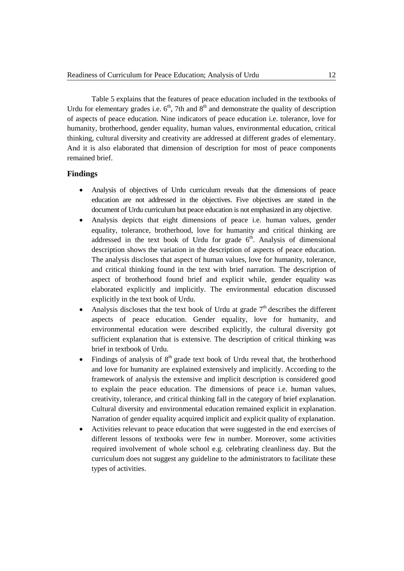Table 5 explains that the features of peace education included in the textbooks of Urdu for elementary grades i.e.  $6<sup>th</sup>$ , 7th and  $8<sup>th</sup>$  and demonstrate the quality of description of aspects of peace education. Nine indicators of peace education i.e. tolerance, love for humanity, brotherhood, gender equality, human values, environmental education, critical thinking, cultural diversity and creativity are addressed at different grades of elementary. And it is also elaborated that dimension of description for most of peace components remained brief.

## **Findings**

- Analysis of objectives of Urdu curriculum reveals that the dimensions of peace education are not addressed in the objectives. Five objectives are stated in the document of Urdu curriculum but peace education is not emphasized in any objective.
- Analysis depicts that eight dimensions of peace i.e. human values, gender equality, tolerance, brotherhood, love for humanity and critical thinking are addressed in the text book of Urdu for grade  $6<sup>th</sup>$ . Analysis of dimensional description shows the variation in the description of aspects of peace education. The analysis discloses that aspect of human values, love for humanity, tolerance, and critical thinking found in the text with brief narration. The description of aspect of brotherhood found brief and explicit while, gender equality was elaborated explicitly and implicitly. The environmental education discussed explicitly in the text book of Urdu.
- Analysis discloses that the text book of Urdu at grade  $7<sup>th</sup>$  describes the different aspects of peace education. Gender equality, love for humanity, and environmental education were described explicitly, the cultural diversity got sufficient explanation that is extensive. The description of critical thinking was brief in textbook of Urdu.
- Findings of analysis of  $8<sup>th</sup>$  grade text book of Urdu reveal that, the brotherhood and love for humanity are explained extensively and implicitly. According to the framework of analysis the extensive and implicit description is considered good to explain the peace education. The dimensions of peace i.e. human values, creativity, tolerance, and critical thinking fall in the category of brief explanation. Cultural diversity and environmental education remained explicit in explanation. Narration of gender equality acquired implicit and explicit quality of explanation.
- Activities relevant to peace education that were suggested in the end exercises of different lessons of textbooks were few in number. Moreover, some activities required involvement of whole school e.g. celebrating cleanliness day. But the curriculum does not suggest any guideline to the administrators to facilitate these types of activities.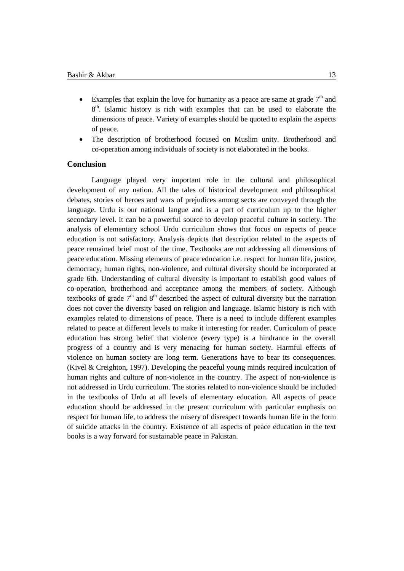- Examples that explain the love for humanity as a peace are same at grade  $7<sup>th</sup>$  and  $8<sup>th</sup>$ . Islamic history is rich with examples that can be used to elaborate the dimensions of peace. Variety of examples should be quoted to explain the aspects of peace.
- The description of brotherhood focused on Muslim unity. Brotherhood and co-operation among individuals of society is not elaborated in the books.

## **Conclusion**

Language played very important role in the cultural and philosophical development of any nation. All the tales of historical development and philosophical debates, stories of heroes and wars of prejudices among sects are conveyed through the language. Urdu is our national langue and is a part of curriculum up to the higher secondary level. It can be a powerful source to develop peaceful culture in society. The analysis of elementary school Urdu curriculum shows that focus on aspects of peace education is not satisfactory. Analysis depicts that description related to the aspects of peace remained brief most of the time. Textbooks are not addressing all dimensions of peace education. Missing elements of peace education i.e. respect for human life, justice, democracy, human rights, non-violence, and cultural diversity should be incorporated at grade 6th. Understanding of cultural diversity is important to establish good values of co-operation, brotherhood and acceptance among the members of society. Although textbooks of grade  $7<sup>th</sup>$  and  $8<sup>th</sup>$  described the aspect of cultural diversity but the narration does not cover the diversity based on religion and language. Islamic history is rich with examples related to dimensions of peace. There is a need to include different examples related to peace at different levels to make it interesting for reader. Curriculum of peace education has strong belief that violence (every type) is a hindrance in the overall progress of a country and is very menacing for human society. Harmful effects of violence on human society are long term. Generations have to bear its consequences. (Kivel & Creighton, 1997). Developing the peaceful young minds required inculcation of human rights and culture of non-violence in the country. The aspect of non-violence is not addressed in Urdu curriculum. The stories related to non-violence should be included in the textbooks of Urdu at all levels of elementary education. All aspects of peace education should be addressed in the present curriculum with particular emphasis on respect for human life, to address the misery of disrespect towards human life in the form of suicide attacks in the country. Existence of all aspects of peace education in the text books is a way forward for sustainable peace in Pakistan.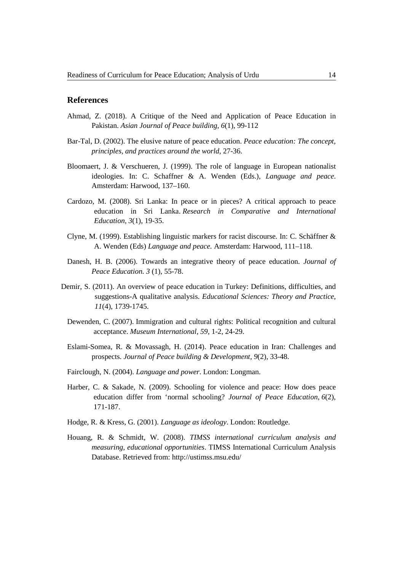## **References**

- Ahmad, Z. (2018). A Critique of the Need and Application of Peace Education in Pakistan. *Asian Journal of Peace building, 6*(1), 99-112
- Bar-Tal, D. (2002). The elusive nature of peace education. *Peace education: The concept, principles, and practices around the world*, 27-36.
- Bloomaert, J. & Verschueren, J. (1999). The role of language in European nationalist ideologies*.* In: C. Schaffner & A. Wenden (Eds.), *Language and peace*. Amsterdam: Harwood, 137–160.
- Cardozo, M. (2008). Sri Lanka: In peace or in pieces? A critical approach to peace education in Sri Lanka. *Research in Comparative and International Education*, *3*(1), 19-35.
- Clyne, M. (1999). Establishing linguistic markers for racist discourse*.* In: C. Schäffner & A. Wenden (Eds) *Language and peace.* Amsterdam: Harwood, 111–118.
- Danesh, H. B. (2006). Towards an integrative theory of peace education. *Journal of Peace Education. 3* (1), 55-78.
- Demir, S. (2011). An overview of peace education in Turkey: Definitions, difficulties, and suggestions-A qualitative analysis. *Educational Sciences: Theory and Practice*, *11*(4), 1739-1745.
	- Dewenden, C. (2007). Immigration and cultural rights: Political recognition and cultural acceptance. *Museum International, 59*, 1-2, 24-29.
	- Eslami-Somea, R. & Movassagh, H. (2014). Peace education in Iran: Challenges and prospects. *Journal of Peace building & Development, 9*(2), 33-48.
	- Fairclough, N. (2004). *Language and power*. London: Longman.
	- Harber, C. & Sakade, N. (2009). Schooling for violence and peace: How does peace education differ from 'normal schooling? *Journal of Peace Education*, *6*(2), 171-187.
	- Hodge, R. & Kress, G. (2001). *Language as ideology*. London: Routledge.
	- Houang, R. & Schmidt, W. (2008). *TIMSS international curriculum analysis and measuring, educational opportunities*. TIMSS International Curriculum Analysis Database. Retrieved from:<http://ustimss.msu.edu/>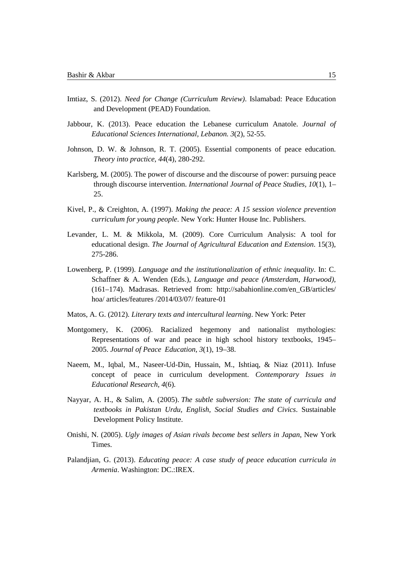- Imtiaz, S. (2012). *Need for Change (Curriculum Review)*. Islamabad: Peace Education and Development (PEAD) Foundation.
- Jabbour, K. (2013). Peace education the Lebanese curriculum Anatole. *Journal of Educational Sciences International, Lebanon. 3*(2), 52-55.
- Johnson, D. W. & Johnson, R. T. (2005). Essential components of peace education. *Theory into practice*, *44*(4), 280-292.
- Karlsberg, M. (2005). The power of discourse and the discourse of power: pursuing peace through discourse intervention. *International Journal of Peace Studies, 10*(1), 1– 25.
- Kivel, P., & Creighton, A. (1997). *Making the peace: A 15 session violence prevention curriculum for young people*. New York: Hunter House Inc. Publishers.
- Levander, L. M. & Mikkola, M. (2009). Core Curriculum Analysis: A tool for educational design. *The Journal of Agricultural Education and Extension*. 15(3), 275-286.
- Lowenberg, P. (1999). *Language and the institutionalization of ethnic inequality*. In: C. Schaffner & A. Wenden (Eds.), *Language and peace (Amsterdam, Harwood),* (161–174). Madrasas. Retrieved from: [http://sabahionline.com/en\\_GB/articles/](http://sabahionline.com/en_%20GB/articles%20%09/hoa/%20%09articles%20/features%20/2014/03/07/%20feature-01) [hoa/ articles/features /2014/03/07/ feature-01](http://sabahionline.com/en_%20GB/articles%20%09/hoa/%20%09articles%20/features%20/2014/03/07/%20feature-01)
- Matos, A. G. (2012). *Literary texts and intercultural learning*. New York: Peter
- Montgomery, K. (2006). Racialized hegemony and nationalist mythologies: Representations of war and peace in high school history textbooks, 1945– 2005. *Journal of Peace Education, 3*(1), 19–38.
- Naeem, M., Iqbal, M., Naseer-Ud-Din, Hussain, M., Ishtiaq, & Niaz (2011). Infuse concept of peace in curriculum development. *Contemporary Issues in Educational Research, 4*(6).
- Nayyar, A. H., & Salim, A. (2005). *The subtle subversion: The state of curricula and textbooks in Pakistan Urdu, English, Social Studies and Civics*. Sustainable Development Policy Institute.
- Onishi, N. (2005). *Ugly images of Asian rivals become best sellers in Japan*, New York Times.
- Palandjian, G. (2013). *Educating peace: A case study of peace education curricula in Armenia*. Washington: DC.:IREX.